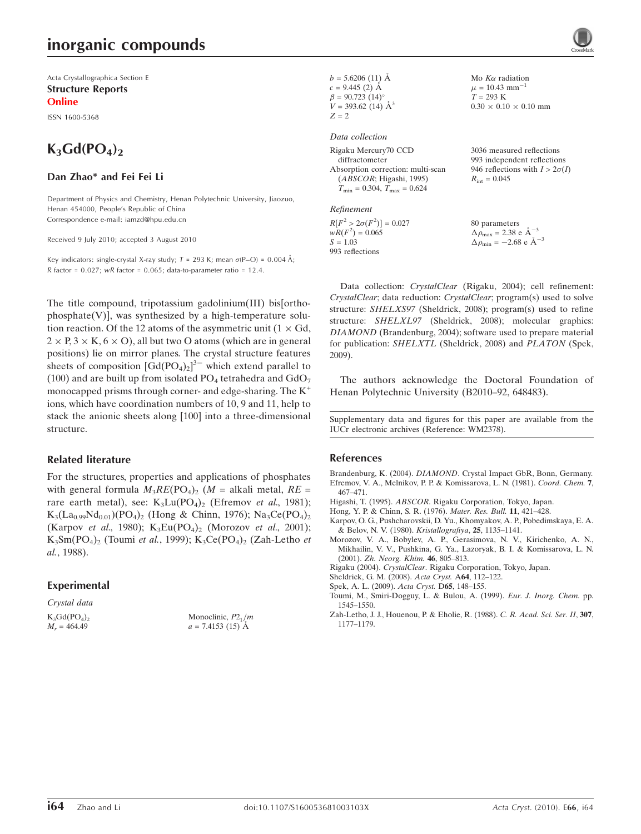### inorganic compounds

Acta Crystallographica Section E Structure Reports

Online

ISSN 1600-5368

## $K_3Gd(PO_4)_2$

#### Dan Zhao\* and Fei Fei Li

Department of Physics and Chemistry, Henan Polytechnic University, Jiaozuo, Henan 454000, People's Republic of China Correspondence e-mail: iamzd@hpu.edu.cn

Received 9 July 2010; accepted 3 August 2010

Key indicators: single-crystal X-ray study;  $T = 293$  K; mean  $\sigma$ (P-O) = 0.004 Å; R factor =  $0.027$ ; wR factor =  $0.065$ ; data-to-parameter ratio = 12.4.

The title compound, tripotassium gadolinium(III) bis[ortho $phosphate(V)$ ], was synthesized by a high-temperature solution reaction. Of the 12 atoms of the asymmetric unit  $(1 \times Gd,$  $2 \times P$ ,  $3 \times K$ ,  $6 \times O$ ), all but two O atoms (which are in general positions) lie on mirror planes. The crystal structure features sheets of composition  $\left[\text{Gd}(\text{PO}_4)_2\right]^{3-}$  which extend parallel to (100) and are built up from isolated  $PO_4$  tetrahedra and  $GdO_7$ monocapped prisms through corner- and edge-sharing. The  $K^+$ ions, which have coordination numbers of 10, 9 and 11, help to stack the anionic sheets along [100] into a three-dimensional structure.

#### Related literature

For the structures, properties and applications of phosphates with general formula  $M_3RE(PO_4)_2$  ( $M =$  alkali metal,  $RE =$ rare earth metal), see:  $K_3Lu(PO_4)_2$  (Efremov et al., 1981);  $K_3(La_{0.99}Nd_{0.01})(PO_4)_2$  (Hong & Chinn, 1976); Na<sub>3</sub>Ce(PO<sub>4</sub>)<sub>2</sub> (Karpov et al., 1980);  $K_3Eu(PO_4)_2$  (Morozov et al., 2001); K<sub>3</sub>Sm(PO<sub>4</sub>)<sub>2</sub> (Toumi et al., 1999); K<sub>3</sub>Ce(PO<sub>4</sub>)<sub>2</sub> (Zah-Letho et al., 1988).

#### Experimental

Crystal data  $K_3Gd(PO_4)_2$  $M<sub>r</sub> = 464.49$ 

Monoclinic,  $P2_1/m$  $a = 7.4153(15)$  Å

```
b = 5.6206(11) Å
c = 9.445 (2) Å
\beta = 90.723 (14)<sup>o</sup>
V = 393.62 (14) \AA^3Z=\sqrt{2}
```
#### Data collection

| Rigaku Mercury70 CCD                             | 3036 measured reflections             |
|--------------------------------------------------|---------------------------------------|
| diffractometer                                   | 993 independent reflections           |
| Absorption correction: multi-scan                | 946 reflections with $I > 2\sigma(I)$ |
| (ABSCOR; Higashi, 1995)                          | $R_{\rm int} = 0.045$                 |
| $T_{\text{min}} = 0.304, T_{\text{max}} = 0.624$ |                                       |
| Refinement                                       |                                       |

Mo  $K\alpha$  radiation  $\mu = 10.43$  mm<sup>-1</sup>  $T = 293 K$ 

 $0.30 \times 0.10 \times 0.10$  mm

 $R[F^2 > 2\sigma(F^2)] = 0.027$ <br>  $wR(F^2) = 0.065$  $S = 1.03$ 993 reflections 80 parameters  $\Delta \rho_{\text{max}} = 2.38 \text{ e A}^{-3}$  $\Delta \rho_{\text{min}} = -2.68 \text{ e A}^{-3}$ 

Data collection: CrystalClear (Rigaku, 2004); cell refinement: CrystalClear; data reduction: CrystalClear; program(s) used to solve structure: SHELXS97 (Sheldrick, 2008); program(s) used to refine structure: SHELXL97 (Sheldrick, 2008); molecular graphics: DIAMOND (Brandenburg, 2004); software used to prepare material for publication: SHELXTL (Sheldrick, 2008) and PLATON (Spek, 2009).

The authors acknowledge the Doctoral Foundation of Henan Polytechnic University (B2010–92, 648483).

Supplementary data and figures for this paper are available from the IUCr electronic archives (Reference: WM2378).

#### References

Brandenburg, K. (2004). DIAMOND[. Crystal Impact GbR, Bonn, Germany.](https://scripts.iucr.org/cgi-bin/cr.cgi?rm=pdfbb&cnor=wm2378&bbid=BB1) [Efremov, V. A., Melnikov, P. P. & Komissarova, L. N. \(1981\).](https://scripts.iucr.org/cgi-bin/cr.cgi?rm=pdfbb&cnor=wm2378&bbid=BB2) Coord. Chem. 7, [467–471.](https://scripts.iucr.org/cgi-bin/cr.cgi?rm=pdfbb&cnor=wm2378&bbid=BB2)

- Higashi, T. (1995). ABSCOR[. Rigaku Corporation, Tokyo, Japan.](https://scripts.iucr.org/cgi-bin/cr.cgi?rm=pdfbb&cnor=wm2378&bbid=BB3)
- [Hong, Y. P. & Chinn, S. R. \(1976\).](https://scripts.iucr.org/cgi-bin/cr.cgi?rm=pdfbb&cnor=wm2378&bbid=BB4) Mater. Res. Bull. 11, 421–428.
- [Karpov, O. G., Pushcharovskii, D. Yu., Khomyakov, A. P., Pobedimskaya, E. A.](https://scripts.iucr.org/cgi-bin/cr.cgi?rm=pdfbb&cnor=wm2378&bbid=BB5) [& Belov, N. V. \(1980\).](https://scripts.iucr.org/cgi-bin/cr.cgi?rm=pdfbb&cnor=wm2378&bbid=BB5) Kristallografiya, 25, 1135–1141.
- [Morozov, V. A., Bobylev, A. P., Gerasimova, N. V., Kirichenko, A. N.,](https://scripts.iucr.org/cgi-bin/cr.cgi?rm=pdfbb&cnor=wm2378&bbid=BB6) [Mikhailin, V. V., Pushkina, G. Ya., Lazoryak, B. I. & Komissarova, L. N.](https://scripts.iucr.org/cgi-bin/cr.cgi?rm=pdfbb&cnor=wm2378&bbid=BB6) (2001). [Zh. Neorg. Khim.](https://scripts.iucr.org/cgi-bin/cr.cgi?rm=pdfbb&cnor=wm2378&bbid=BB6) 46, 805–813.
- Rigaku (2004). CrystalClear[. Rigaku Corporation, Tokyo, Japan.](https://scripts.iucr.org/cgi-bin/cr.cgi?rm=pdfbb&cnor=wm2378&bbid=BB7)
- [Sheldrick, G. M. \(2008\).](https://scripts.iucr.org/cgi-bin/cr.cgi?rm=pdfbb&cnor=wm2378&bbid=BB8) Acta Cryst. A64, 112–122.
- [Spek, A. L. \(2009\).](https://scripts.iucr.org/cgi-bin/cr.cgi?rm=pdfbb&cnor=wm2378&bbid=BB9) Acta Cryst. D65, 148–155.
- [Toumi, M., Smiri-Dogguy, L. & Bulou, A. \(1999\).](https://scripts.iucr.org/cgi-bin/cr.cgi?rm=pdfbb&cnor=wm2378&bbid=BB10) Eur. J. Inorg. Chem. pp. [1545–1550.](https://scripts.iucr.org/cgi-bin/cr.cgi?rm=pdfbb&cnor=wm2378&bbid=BB10)
- [Zah-Letho, J. J., Houenou, P. & Eholie, R. \(1988\).](https://scripts.iucr.org/cgi-bin/cr.cgi?rm=pdfbb&cnor=wm2378&bbid=BB11) C. R. Acad. Sci. Ser. II, 307, [1177–1179.](https://scripts.iucr.org/cgi-bin/cr.cgi?rm=pdfbb&cnor=wm2378&bbid=BB11)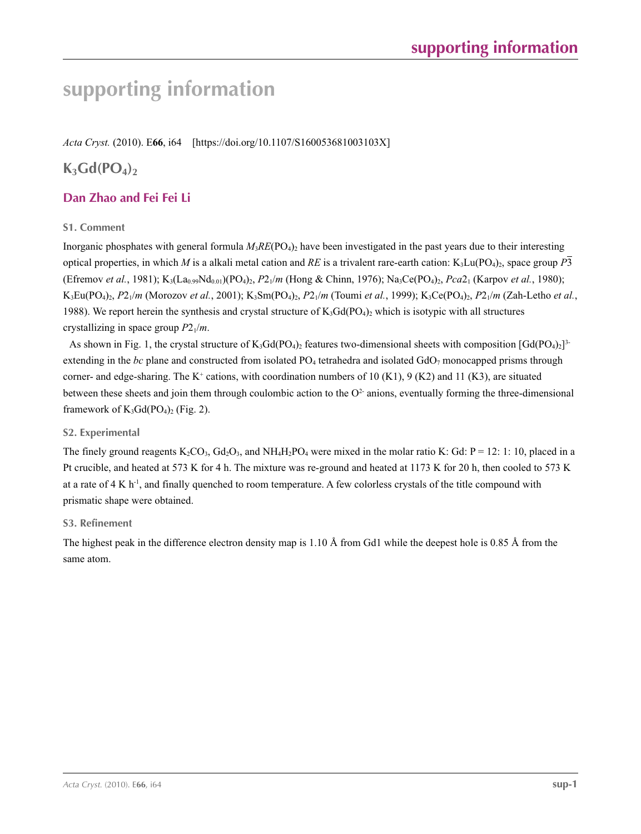*Acta Cryst.* (2010). E**66**, i64 [https://doi.org/10.1107/S160053681003103X]

### $K_3Gd(PO_4)$

### **Dan Zhao and Fei Fei Li**

#### **S1. Comment**

Inorganic phosphates with general formula  $M_3RE(PO_4)_2$  have been investigated in the past years due to their interesting optical properties, in which *M* is a alkali metal cation and *RE* is a trivalent rare-earth cation:  $K_3Lu(PO_4)_2$ , space group *P*3 (Efremov *et al.*, 1981); K<sub>3</sub>(La<sub>0.99</sub>Nd<sub>0.01</sub>)(PO<sub>4</sub>)<sub>2</sub>, *P*2<sub>1</sub>/*m* (Hong & Chinn, 1976); Na<sub>3</sub>Ce(PO<sub>4</sub>)<sub>2</sub>, *Pca*2<sub>1</sub> (Karpov *et al.*, 1980); K3Eu(PO4)2, *P*21/*m* (Morozov *et al.*, 2001); K3Sm(PO4)2, *P*21/*m* (Toumi *et al.*, 1999); K3Ce(PO4)2, *P*21/*m* (Zah-Letho *et al.*, 1988). We report herein the synthesis and crystal structure of  $K_3Gd(PO_4)_2$  which is isotypic with all structures crystallizing in space group  $P2_1/m$ .

As shown in Fig. 1, the crystal structure of  $K_3Gd(PO_4)_2$  features two-dimensional sheets with composition  $[Gd(PO_4)_2]^3$ extending in the  $bc$  plane and constructed from isolated  $PO<sub>4</sub>$  tetrahedra and isolated  $GdO<sub>7</sub>$  monocapped prisms through corner- and edge-sharing. The K<sup>+</sup> cations, with coordination numbers of 10 (K1), 9 (K2) and 11 (K3), are situated between these sheets and join them through coulombic action to the  $O<sup>2</sup>$  anions, eventually forming the three-dimensional framework of  $K_3Gd(PO_4)_2$  (Fig. 2).

#### **S2. Experimental**

The finely ground reagents  $K_2CO_3$ ,  $Gd_2O_3$ , and  $NH_4H_2PO_4$  were mixed in the molar ratio K: Gd: P = 12: 1: 10, placed in a Pt crucible, and heated at 573 K for 4 h. The mixture was re-ground and heated at 1173 K for 20 h, then cooled to 573 K at a rate of  $4 \times h^{-1}$ , and finally quenched to room temperature. A few colorless crystals of the title compound with prismatic shape were obtained.

#### **S3. Refinement**

The highest peak in the difference electron density map is 1.10 Å from Gd1 while the deepest hole is 0.85 Å from the same atom.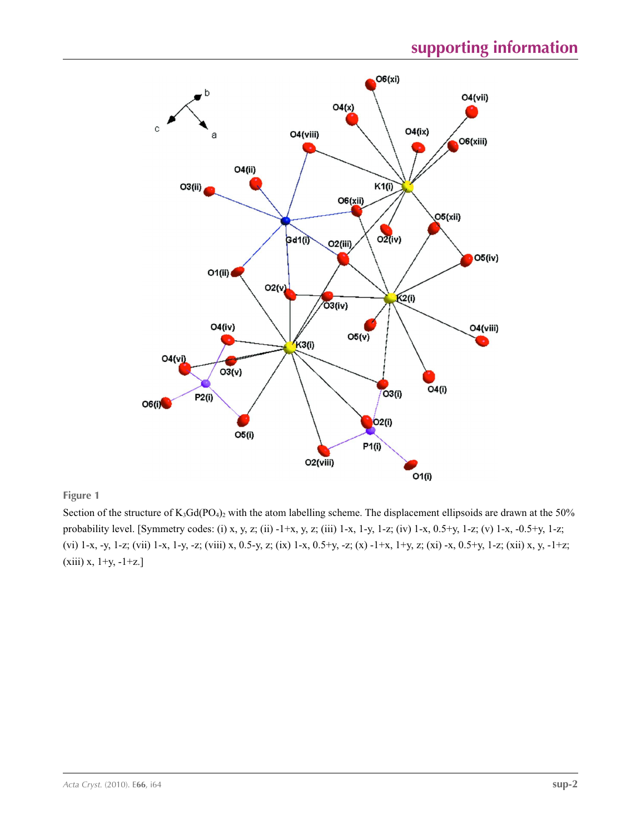

#### **Figure 1**

Section of the structure of  $K_3Gd(PO_4)_2$  with the atom labelling scheme. The displacement ellipsoids are drawn at the 50% probability level. [Symmetry codes: (i) x, y, z; (ii) -1+x, y, z; (iii) 1-x, 1-y, 1-z; (iv) 1-x, 0.5+y, 1-z; (v) 1-x, -0.5+y, 1-z; (vi) 1-x, -y, 1-z; (vii) 1-x, 1-y, -z; (viii) x, 0.5-y, z; (ix) 1-x, 0.5+y, -z; (x) -1+x, 1+y, z; (xi) -x, 0.5+y, 1-z; (xii) x, y, -1+z; (xiii) x, 1+y, -1+z.]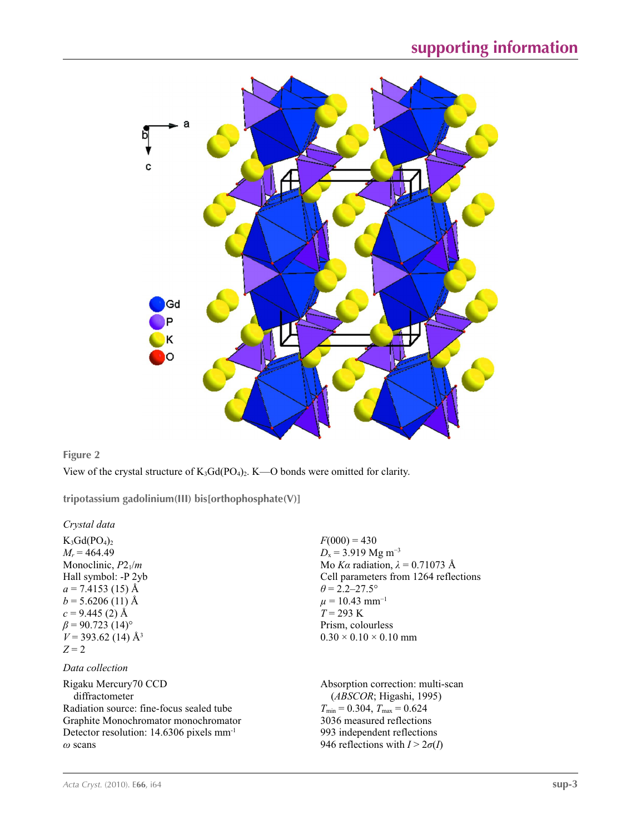

#### **Figure 2**

View of the crystal structure of  $K_3Gd(PO_4)_2$ . K—O bonds were omitted for clarity.

**tripotassium gadolinium(III) bis[orthophosphate(V)]** 

*Crystal data*

 $K_3Gd(PO_4)_2$  $M_r = 464.49$ Monoclinic, *P*21/*m* Hall symbol: -P 2yb  $a = 7.4153$  (15) Å  $b = 5.6206(11)$  Å  $c = 9.445$  (2) Å  $\beta$  = 90.723 (14)<sup>o</sup>  $V = 393.62$  (14) Å<sup>3</sup> *Z* = 2

#### *Data collection*

Rigaku Mercury70 CCD diffractometer Radiation source: fine-focus sealed tube Graphite Monochromator monochromator Detector resolution: 14.6306 pixels mm-1 *ω* scans

 $F(000) = 430$  $D_x$  = 3.919 Mg m<sup>-3</sup> Mo *Kα* radiation,  $\lambda = 0.71073$  Å Cell parameters from 1264 reflections  $\theta$  = 2.2–27.5°  $\mu = 10.43$  mm<sup>-1</sup> *T* = 293 K Prism, colourless  $0.30 \times 0.10 \times 0.10$  mm

Absorption correction: multi-scan (*ABSCOR*; Higashi, 1995)  $T_{\text{min}} = 0.304, T_{\text{max}} = 0.624$ 3036 measured reflections 993 independent reflections 946 reflections with  $I > 2\sigma(I)$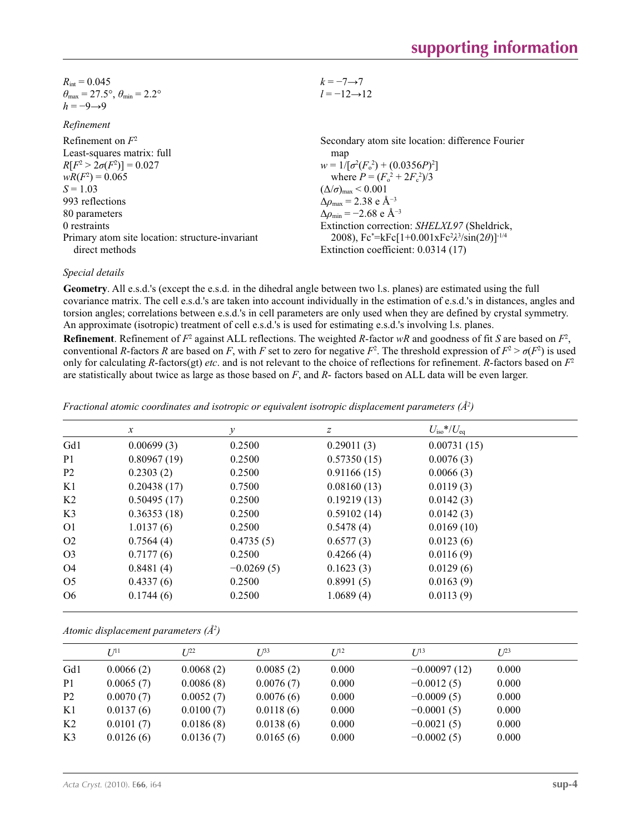| $R_{\text{int}} = 0.045$                                                | $k=-7 \rightarrow 7$  |
|-------------------------------------------------------------------------|-----------------------|
| $\theta_{\text{max}} = 27.5^{\circ}, \theta_{\text{min}} = 2.2^{\circ}$ | $l = -12 \rightarrow$ |
| $h = -9 \rightarrow 9$                                                  |                       |

| <i>iwinchine</i>                                |                                                                |
|-------------------------------------------------|----------------------------------------------------------------|
| Refinement on $F^2$                             | Secondary atom site location: difference Fourier               |
| Least-squares matrix: full                      | map                                                            |
| $R[F^2 > 2\sigma(F^2)] = 0.027$                 | $w = 1/[\sigma^2(F_0^2) + (0.0356P)^2]$                        |
| $wR(F^2) = 0.065$                               | where $P = (F_o^2 + 2F_c^2)/3$                                 |
| $S = 1.03$                                      | $(\Delta/\sigma)_{\text{max}}$ < 0.001                         |
| 993 reflections                                 | $\Delta\rho_{\rm max} = 2.38 \text{ e A}^{-3}$                 |
| 80 parameters                                   | $\Delta\rho_{\rm min} = -2.68$ e Å <sup>-3</sup>               |
| 0 restraints                                    | Extinction correction: SHELXL97 (Sheldrick,                    |
| Primary atom site location: structure-invariant | 2008), $Fc^* = kFc[1+0.001xFc^2\lambda^3/sin(2\theta)]^{-1/4}$ |
| direct methods                                  | Extinction coefficient: 0.0314 (17)                            |
|                                                 |                                                                |

#### *Special details*

**Geometry**. All e.s.d.'s (except the e.s.d. in the dihedral angle between two l.s. planes) are estimated using the full covariance matrix. The cell e.s.d.'s are taken into account individually in the estimation of e.s.d.'s in distances, angles and torsion angles; correlations between e.s.d.'s in cell parameters are only used when they are defined by crystal symmetry. An approximate (isotropic) treatment of cell e.s.d.'s is used for estimating e.s.d.'s involving l.s. planes.

 $\overline{2}$ 

**Refinement**. Refinement of  $F^2$  against ALL reflections. The weighted *R*-factor  $wR$  and goodness of fit *S* are based on  $F^2$ , conventional *R*-factors *R* are based on *F*, with *F* set to zero for negative *F*<sup>2</sup>. The threshold expression of  $F^2 > \sigma(F^2)$  is used only for calculating *R*-factors(gt) *etc*. and is not relevant to the choice of reflections for refinement. *R*-factors based on *F*<sup>2</sup> are statistically about twice as large as those based on *F*, and *R*- factors based on ALL data will be even larger.

*Fractional atomic coordinates and isotropic or equivalent isotropic displacement parameters (Å2 )*

|                | $\mathcal{X}$ | у            | z           | $U_{\rm iso}*/U_{\rm eq}$ |  |
|----------------|---------------|--------------|-------------|---------------------------|--|
| Gd1            | 0.00699(3)    | 0.2500       | 0.29011(3)  | 0.00731(15)               |  |
| P <sub>1</sub> | 0.80967(19)   | 0.2500       | 0.57350(15) | 0.0076(3)                 |  |
| P <sub>2</sub> | 0.2303(2)     | 0.2500       | 0.91166(15) | 0.0066(3)                 |  |
| K1             | 0.20438(17)   | 0.7500       | 0.08160(13) | 0.0119(3)                 |  |
| K <sub>2</sub> | 0.50495(17)   | 0.2500       | 0.19219(13) | 0.0142(3)                 |  |
| K <sub>3</sub> | 0.36353(18)   | 0.2500       | 0.59102(14) | 0.0142(3)                 |  |
| O <sub>1</sub> | 1.0137(6)     | 0.2500       | 0.5478(4)   | 0.0169(10)                |  |
| O <sub>2</sub> | 0.7564(4)     | 0.4735(5)    | 0.6577(3)   | 0.0123(6)                 |  |
| O <sub>3</sub> | 0.7177(6)     | 0.2500       | 0.4266(4)   | 0.0116(9)                 |  |
| O <sub>4</sub> | 0.8481(4)     | $-0.0269(5)$ | 0.1623(3)   | 0.0129(6)                 |  |
| O <sub>5</sub> | 0.4337(6)     | 0.2500       | 0.8991(5)   | 0.0163(9)                 |  |
| O <sub>6</sub> | 0.1744(6)     | 0.2500       | 1.0689(4)   | 0.0113(9)                 |  |

|  | Atomic displacement parameters $(\AA^2)$ |  |  |
|--|------------------------------------------|--|--|
|--|------------------------------------------|--|--|

|                | I/I <sup>11</sup> | I/22      | $I^{\beta 3}$ | $I^{12}$ | $I^{13}$       | $I^{23}$ |
|----------------|-------------------|-----------|---------------|----------|----------------|----------|
| Gd1            | 0.0066(2)         | 0.0068(2) | 0.0085(2)     | 0.000    | $-0.00097(12)$ | 0.000    |
| P <sub>1</sub> | 0.0065(7)         | 0.0086(8) | 0.0076(7)     | 0.000    | $-0.0012(5)$   | 0.000    |
| P <sub>2</sub> | 0.0070(7)         | 0.0052(7) | 0.0076(6)     | 0.000    | $-0.0009(5)$   | 0.000    |
| K1             | 0.0137(6)         | 0.0100(7) | 0.0118(6)     | 0.000    | $-0.0001(5)$   | 0.000    |
| K <sub>2</sub> | 0.0101(7)         | 0.0186(8) | 0.0138(6)     | 0.000    | $-0.0021(5)$   | 0.000    |
| K <sub>3</sub> | 0.0126(6)         | 0.0136(7) | 0.0165(6)     | 0.000    | $-0.0002(5)$   | 0.000    |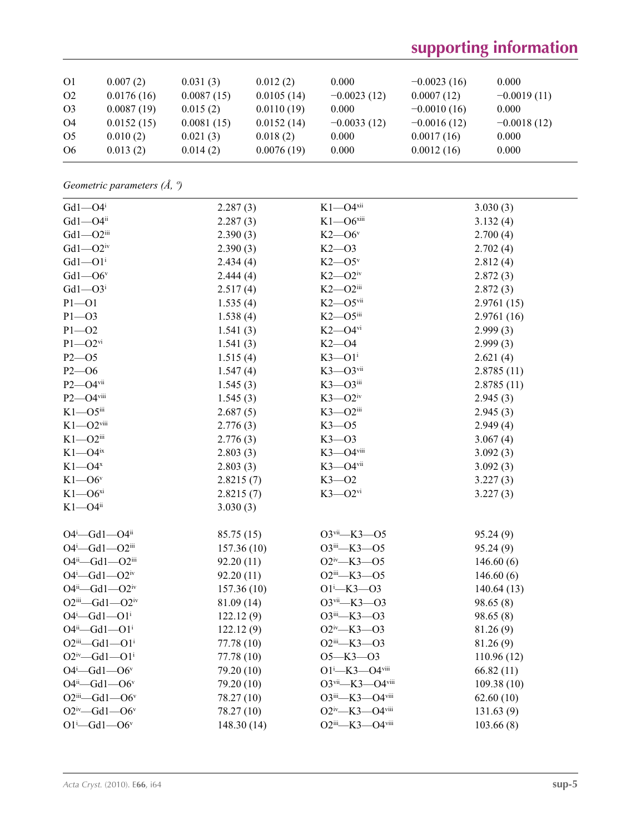| O <sub>1</sub>                   | 0.007(2)                 | 0.031(3)               | 0.012(2)                 | 0.000                  | $-0.0023(16)$               | 0.000                  |
|----------------------------------|--------------------------|------------------------|--------------------------|------------------------|-----------------------------|------------------------|
| O <sub>2</sub><br>O <sub>3</sub> | 0.0176(16)<br>0.0087(19) | 0.0087(15)<br>0.015(2) | 0.0105(14)<br>0.0110(19) | $-0.0023(12)$<br>0.000 | 0.0007(12)<br>$-0.0010(16)$ | $-0.0019(11)$<br>0.000 |
| O4                               | 0.0152(15)               | 0.0081(15)             | 0.0152(14)               | $-0.0033(12)$          | $-0.0016(12)$               | $-0.0018(12)$          |
| O <sub>5</sub>                   | 0.010(2)                 | 0.021(3)               | 0.018(2)                 | 0.000                  | 0.0017(16)                  | 0.000                  |
| O <sub>6</sub>                   | 0.013(2)                 | 0.014(2)               | 0.0076(19)               | 0.000                  | 0.0012(16)                  | 0.000                  |

*Geometric parameters (Å, º)*

| $Gd1 - O4$ <sup>i</sup>    | 2.287(3)    | $K1 - O4$ <sup>xii</sup>                          | 3.030(3)    |
|----------------------------|-------------|---------------------------------------------------|-------------|
| $Gd1 - O4$ <sup>ii</sup>   | 2.287(3)    | $K1 - O6$ xiii                                    | 3.132(4)    |
| $Gd1 - O2$ iii             | 2.390(3)    | $K2$ —O6 <sup>v</sup>                             | 2.700(4)    |
| $Gd1 - O2$ iv              | 2.390(3)    | $K2 - 03$                                         | 2.702(4)    |
| $Gd1 - O1$ <sup>i</sup>    | 2.434(4)    | $K2$ — $O5$ <sup>v</sup>                          | 2.812(4)    |
| $Gd1 - O6v$                | 2.444(4)    | $K2$ — $O2^{\text{iv}}$                           | 2.872(3)    |
| $Gd1 - O3$ <sup>i</sup>    | 2.517(4)    | $K2 - O2$ iii                                     | 2.872(3)    |
| $P1 - O1$                  | 1.535(4)    | $K2 - 05$ vii                                     | 2.9761(15)  |
| $P1 - O3$                  | 1.538(4)    | $K2$ -O5iii                                       | 2.9761 (16) |
| $P1 - O2$                  | 1.541(3)    | $K2$ —O4 $v$ i                                    | 2.999(3)    |
| $P1 - O2$ <sup>vi</sup>    | 1.541(3)    | $K2 - 04$                                         | 2.999(3)    |
| $P2 - 05$                  | 1.515(4)    | $K3 - O1$ <sup>i</sup>                            | 2.621(4)    |
| $P2 - 06$                  | 1.547(4)    | $K3 - O3$ vii                                     | 2.8785(11)  |
| $P2 - O4$ <sup>vii</sup>   | 1.545(3)    | $K3$ — $O3$ <sup>iii</sup>                        | 2.8785(11)  |
| P2-O4viii                  | 1.545(3)    | $K3$ — $O2$ <sup>iv</sup>                         | 2.945(3)    |
| $K1 - 05$ iii              | 2.687(5)    | $K3 - O2$ iii                                     | 2.945(3)    |
| $K1 - O2$ <sup>viii</sup>  | 2.776(3)    | $K3 - 05$                                         | 2.949(4)    |
| $K1 - O2$ iii              | 2.776(3)    | $K3 - 03$                                         | 3.067(4)    |
| $K1 - O4$ <sup>ix</sup>    | 2.803(3)    | $K3 - O4$ viii                                    | 3.092(3)    |
| $K1 - O4x$                 | 2.803(3)    | $K3 - O4$ <sup>vii</sup>                          | 3.092(3)    |
| $K1 - O6v$                 | 2.8215(7)   | $K3 - 02$                                         | 3.227(3)    |
| $K1 - O6^{xi}$             | 2.8215(7)   | $K3 - O2$ <sup>vi</sup>                           | 3.227(3)    |
| $K1 - O4$ <sup>ii</sup>    | 3.030(3)    |                                                   |             |
| $O4^i$ -Gd1- $O4^i$        | 85.75(15)   | O3vii-K3-O5                                       | 95.24(9)    |
| $O4^i$ -Gd1- $O2^{iii}$    | 157.36(10)  | O3iii-K3-O5                                       | 95.24(9)    |
| $O4^{ii}$ -Gd1- $O2^{iii}$ | 92.20 (11)  | $O2^{iv}$ -K3- $O5$                               | 146.60(6)   |
| $O4^i$ -Gd1- $O2^{iv}$     | 92.20(11)   | O <sub>2</sub> iii <sub>-K3</sub> -O <sub>5</sub> | 146.60(6)   |
| $O4^{ii} - Gd1 - O2^{iv}$  | 157.36(10)  | $O1 - K3 - O3$                                    | 140.64(13)  |
| $O2^{iii} - Gd1 - O2^{iv}$ | 81.09 (14)  | O3vii-K3-O3                                       | 98.65(8)    |
| $O4^i$ -Gd1- $O1^i$        | 122.12(9)   | $O3$ iii—K3—O3                                    | 98.65(8)    |
| $O4^{ii} - Gd1 - O1^{i}$   | 122.12(9)   | $O2^{iv}$ -K3- $O3$                               | 81.26 (9)   |
| $O2^{iii} - Gd1 - O1^{i}$  | 77.78 (10)  | O <sub>2</sub> iii <sub>-K3</sub> -O <sub>3</sub> | 81.26 (9)   |
| $O2^{iv}$ -Gd1- $O1^i$     | 77.78 (10)  | $O5 - K3 - O3$                                    | 110.96(12)  |
| $O4^i$ -Gd1- $O6^v$        | 79.20 (10)  | $O1^{i}$ -K3- $O4^{viii}$                         | 66.82(11)   |
| $O4^{ii} - Gd1 - O6^{v}$   | 79.20 (10)  | O3vii-K3-O4viii                                   | 109.38(10)  |
| $O2^{iii} - Gd1 - O6^{v}$  | 78.27 (10)  | O3iii-K3-O4viii                                   | 62.60(10)   |
| $O2^{iv}$ -Gd1- $O6^v$     | 78.27 (10)  | O2iv-K3-O4viii                                    | 131.63(9)   |
| $O1 - Gd1 - O6v$           | 148.30 (14) | O2iii-K3-O4viii                                   | 103.66(8)   |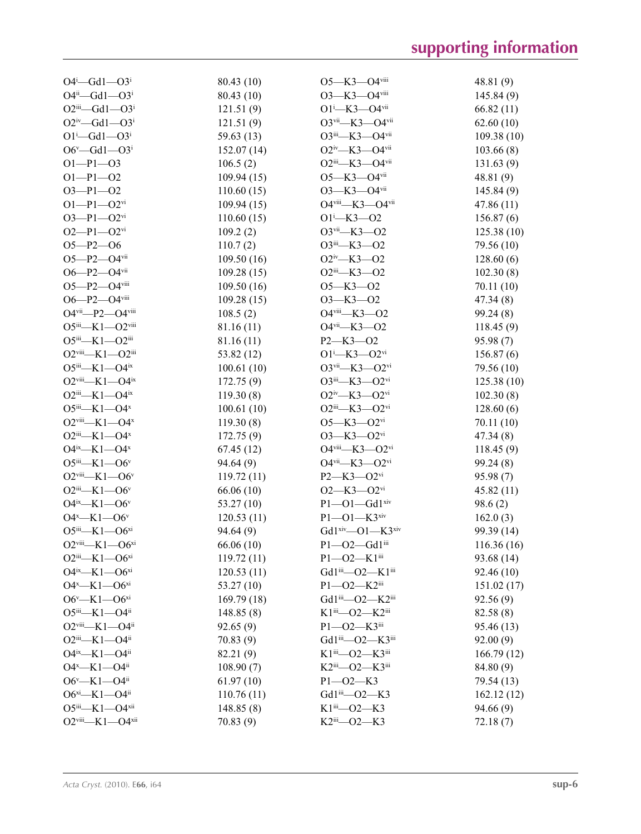| $O4^i$ - Gd1 - $O3^i$                                                    | 80.43 (10)  | O5-K3-O4viii                                                              | 48.81(9)   |
|--------------------------------------------------------------------------|-------------|---------------------------------------------------------------------------|------------|
| $O4^{ii} - Gd1 - O3^{i}$                                                 | 80.43 (10)  | O3-K3-O4viii                                                              | 145.84 (9) |
| $O2^{iii} - Gd1 - O3^{i}$                                                | 121.51(9)   | $O1 - K3 - O4$ <sup>vii</sup>                                             | 66.82(11)  |
| $O2^{iv}$ -Gd1- $O3^i$                                                   | 121.51(9)   | O3vii-K3-O4vii                                                            | 62.60(10)  |
| $O1^{i}$ -Gd1- $O3^{i}$                                                  | 59.63 (13)  | O3iii-K3-O4vii                                                            | 109.38(10) |
| $O6^v$ —Gd1—O3 <sup>i</sup>                                              | 152.07(14)  | O <sub>2iv</sub> -K <sub>3</sub> -O <sub>4vii</sub>                       | 103.66(8)  |
| $O1-P1-O3$                                                               | 106.5(2)    | O2iii-K3-O4vii                                                            | 131.63(9)  |
| $O1-P1-O2$                                                               | 109.94 (15) | $O5 - K3 - O4$ <sup>vii</sup>                                             | 48.81(9)   |
| $O3 - P1 - O2$                                                           | 110.60(15)  | O3-K3-O4vii                                                               | 145.84(9)  |
| $O1-P1-O2$ <sup>vi</sup>                                                 | 109.94(15)  | O4viii-K3-O4vii                                                           | 47.86(11)  |
| $O3 - P1 - O2$ <sup>vi</sup>                                             | 110.60(15)  | $O1^{i}$ -K3- $O2$                                                        | 156.87(6)  |
| $O2-P1-O2$ <sup>vi</sup>                                                 | 109.2(2)    | $O3$ <sup>vii</sup> -K3- $O2$                                             | 125.38(10) |
| $O5 - P2 - O6$                                                           | 110.7(2)    | O3iii-K3-O2                                                               | 79.56 (10) |
| $O5 - P2 - O4$ <sup>vii</sup>                                            | 109.50(16)  | $O2^{\text{iv}}$ -K3- $O2$                                                | 128.60(6)  |
| $O6 - P2 - O4$ <sup>vii</sup>                                            | 109.28(15)  | $O2$ <sup>iii</sup> —K3—O2                                                | 102.30(8)  |
| $O5 - P2 - O4$ <sup>viii</sup>                                           | 109.50(16)  | $O5 - K3 - O2$                                                            | 70.11(10)  |
| O6-P2-O4viii                                                             | 109.28(15)  | $O3 - K3 - O2$                                                            | 47.34(8)   |
| O4vii-P2-O4viii                                                          | 108.5(2)    | O4viii-K3-O2                                                              | 99.24(8)   |
| $O5$ iii—K1— $O2$ <sup>viii</sup>                                        | 81.16 (11)  | O4vii-K3-O2                                                               | 118.45(9)  |
| $O5^{iii}$ -K1- $O2^{iii}$                                               | 81.16 (11)  | $P2 - K3 - O2$                                                            | 95.98 (7)  |
| $O2$ <sup>viii</sup> -K1- $O2$ <sup>iii</sup>                            | 53.82 (12)  | $O1^{i}$ -K3- $O2^{vi}$                                                   | 156.87(6)  |
| $O5^{iii} - K1 - O4^{ix}$                                                | 100.61(10)  | $O3$ <sup>vii</sup> -K3- $O2$ <sup>vi</sup>                               | 79.56 (10) |
| $O2$ <sup>viii</sup> -K1- $O4$ <sup>ix</sup>                             | 172.75(9)   | $O3$ <sup>iii</sup> —K3—O2 <sup>vi</sup>                                  | 125.38(10) |
| $O2^{iii}$ —K1—O4 <sup>ix</sup>                                          |             | $O2^{iv}$ —K3—O2 <sup>vi</sup>                                            |            |
| $O5^{iii} - K1 - O4^{x}$                                                 | 119.30(8)   | $O2^{iii}$ -K3- $O2^{vi}$                                                 | 102.30(8)  |
| $O2$ <sup>viii</sup> —K1—O4 <sup>x</sup>                                 | 100.61(10)  | $O5 - K3 - O2$ <sup>vi</sup>                                              | 128.60(6)  |
|                                                                          | 119.30(8)   |                                                                           | 70.11 (10) |
| $O2$ <sup>iii</sup> —K1—O4 <sup>x</sup><br>$O4^{ix}$ —K1—O4 <sup>x</sup> | 172.75(9)   | $O3 - K3 - O2$ <sup>vi</sup><br>$O4$ <sup>viii</sup> —K3—O2 <sup>vi</sup> | 47.34(8)   |
|                                                                          | 67.45(12)   | O4vii-K3-O2vi                                                             | 118.45(9)  |
| $O5^{iii} - K1 - O6^{v}$                                                 | 94.64(9)    |                                                                           | 99.24(8)   |
| $O2$ <sup>viii</sup> -K1- $O6^v$                                         | 119.72(11)  | P2-K3-O2vi                                                                | 95.98(7)   |
| $O2$ <sup>iii</sup> —K1—O6 <sup>v</sup>                                  | 66.06(10)   | $O2 - K3 - O2$ <sup>vi</sup>                                              | 45.82 (11) |
| $O4^{ix}$ —K1— $O6^v$                                                    | 53.27(10)   | $P1 - O1 - Gd1$ xiv                                                       | 98.6(2)    |
| $O4^x$ —K1— $O6^y$                                                       | 120.53(11)  | $P1 - O1 - K3$ xiv                                                        | 162.0(3)   |
| $O5^{iii}$ -K1- $O6^{xi}$                                                | 94.64(9)    | Gd1xiv-O1-K3xiv                                                           | 99.39 (14) |
| $O2$ <sup>viii</sup> -K1- $O6^{xi}$                                      | 66.06(10)   | P1-02-Gd1iii                                                              | 116.36(16) |
| $O2^{iii}$ -K1- $O6^{xi}$                                                | 119.72(11)  | $P1 - O2 - K1$ <sup>iii</sup>                                             | 93.68 (14) |
| $O4^{ix}$ —K1— $O6^{xi}$                                                 | 120.53(11)  | Gd1iii-O2-K1iii                                                           | 92.46(10)  |
| $O4^x$ —K1— $O6^{xi}$                                                    | 53.27 (10)  | P1-02-K2iii                                                               | 151.02(17) |
| $O6^v$ —K1— $O6^{xi}$                                                    | 169.79 (18) | Gd1iii-O2-K2iii                                                           | 92.56(9)   |
| $O5^{iii} - K1 - O4^{ii}$                                                | 148.85(8)   | $K1$ <sup>iii</sup> —O2—K2 <sup>iii</sup>                                 | 82.58(8)   |
| O <sub>2viii</sub> -K1-O4ii                                              | 92.65(9)    | $P1 - O2 - K3$ iii                                                        | 95.46 (13) |
| $O2^{iii}$ -K1- $O4^{ii}$                                                | 70.83(9)    | Gd1iii-O2-K3iii                                                           | 92.00(9)   |
| $O4^{ix}$ —K1— $O4^{ii}$                                                 | 82.21 (9)   | K1iii-O2-K3iii                                                            | 166.79(12) |
| $O4^x$ —K1— $O4^{ii}$                                                    | 108.90(7)   | K2iii-O2-K3iii                                                            | 84.80 (9)  |
| $O6^v$ —K1—O4ii                                                          | 61.97(10)   | $P1 - O2 - K3$                                                            | 79.54 (13) |
| $O6^{xi}$ -K1- $O4^{ii}$                                                 | 110.76(11)  | Gd1iii-O2-K3                                                              | 162.12(12) |
| $O5^{iii}$ —K1—O4xii                                                     | 148.85(8)   | $K1$ <sup>iii</sup> —O2—K3                                                | 94.66(9)   |
| $O2$ <sup>viii</sup> -K1- $O4$ <sup>xii</sup>                            | 70.83(9)    | K2iii-O2-K3                                                               | 72.18(7)   |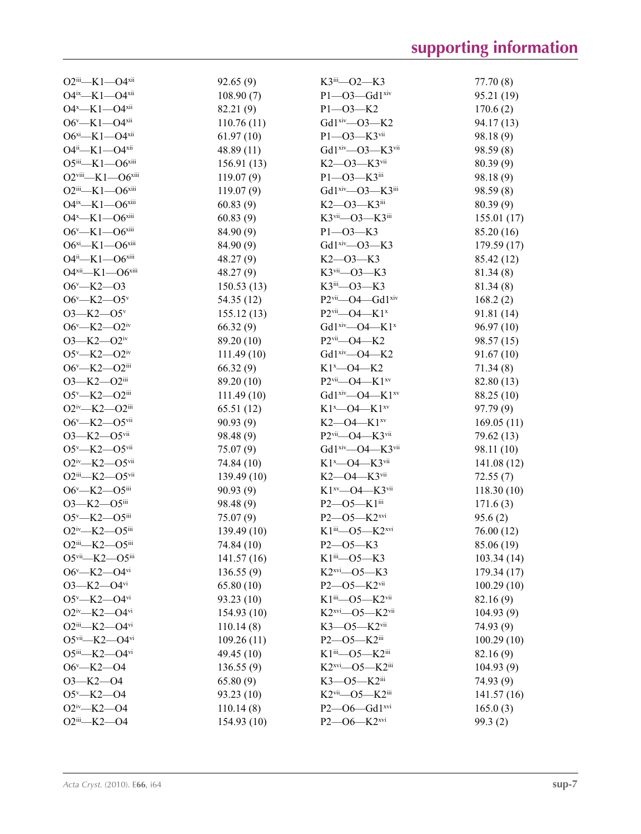| $O2^{iii}$ -K1- $O4^{xii}$                        | 92.65(9)    | $K3$ <sup>iii</sup> —O2—K3                       | 77.70(8)    |
|---------------------------------------------------|-------------|--------------------------------------------------|-------------|
| O4ix-K1-O4xii                                     | 108.90(7)   | $P1 - O3 - Gd1$ xiv                              | 95.21 (19)  |
| $O4^x$ —K1— $O4^{xii}$                            | 82.21 (9)   | $P1 - O3 - K2$                                   | 170.6(2)    |
| $O6^v$ —K1—O4xii                                  | 110.76(11)  | Gd1 <sup>xiv</sup> -O3-K2                        | 94.17 (13)  |
| $O6^{xi}$ -K1- $O4^{xii}$                         | 61.97(10)   | P1-03-K3vii                                      | 98.18(9)    |
| $O4^{ii}$ -K1- $O4^{xii}$                         | 48.89 (11)  | Gd1 <sup>xiv</sup> -O3-K3 <sup>vii</sup>         | 98.59 (8)   |
| $O5^{iii}$ -K1- $O6^{xiii}$                       | 156.91 (13) | $K2 - 03 - K3$ <sup>vii</sup>                    | 80.39 (9)   |
| $O2$ <sup>viii</sup> -K1- $O6$ <sup>xiii</sup>    | 119.07(9)   | P1-03-K3iii                                      | 98.18(9)    |
| $O2iii$ -K1- $O6xiii$                             | 119.07(9)   | Gd1 <sup>xiv</sup> —O3—K3 <sup>iii</sup>         | 98.59 (8)   |
| O4ix-K1-O6xiii                                    | 60.83(9)    | $K2$ — $O3$ — $K3$ <sup>iii</sup>                | 80.39 (9)   |
| $O4^x$ —K1— $O6^{xiii}$                           | 60.83(9)    | K3vii-O3-K3iii                                   | 155.01(17)  |
| $O6^v$ —K1— $O6^{xiii}$                           | 84.90 (9)   | $P1 - O3 - K3$                                   | 85.20 (16)  |
| $O6^{xi}$ -K1- $O6^{xiii}$                        | 84.90 (9)   | Gd1 <sup>xiv</sup> -O3-K3                        | 179.59(17)  |
| O4ii-K1-O6xiii                                    | 48.27 (9)   | $K2 - 03 - K3$                                   | 85.42 (12)  |
| $O4^{xii}$ — $K1$ — $O6^{xiii}$                   | 48.27(9)    | $K3$ <sup>vii</sup> —O3—K3                       | 81.34 (8)   |
| $O6v$ –K2–O3                                      | 150.53(13)  | K3iii-O3-K3                                      | 81.34(8)    |
| $O6^v$ —K2—O5 <sup>v</sup>                        | 54.35 (12)  | P2vii-O4-Gd1xiv                                  | 168.2(2)    |
| $O3 - K2 - O5$                                    | 155.12 (13) | P2vii-O4-K1x                                     | 91.81 (14)  |
| $O6^v$ —K2—O2iv                                   | 66.32(9)    | Gd1 <sup>xiv</sup> —O4—K1 <sup>x</sup>           | 96.97 (10)  |
| $O3 - K2 - O2$ <sup>iv</sup>                      | 89.20 (10)  | $P2$ <sup>vii</sup> - O4 - K2                    | 98.57 (15)  |
| $O5^v$ —K2— $O2^w$                                | 111.49(10)  | Gd1 <sup>xiv</sup> —O4—K2                        | 91.67(10)   |
| O6 <sup>v</sup> -K2-O2iii                         | 66.32(9)    | $K1^x$ - $O4$ - $K2$                             | 71.34(8)    |
| $O3 - K2 - O2$ iii                                | 89.20 (10)  | $P2$ <sup>vii</sup> —O4—K1 <sup>xv</sup>         | 82.80 (13)  |
| $O5^v$ —K2— $O2$ <sup>iii</sup>                   | 111.49(10)  | Gd1 <sup>xiv</sup> -04-K1 <sup>xv</sup>          | 88.25 (10)  |
| $O2^{iv}$ —K2— $O2^{iii}$                         | 65.51 (12)  | K1 <sup>x</sup> -04-K1 <sup>xv</sup>             | 97.79 (9)   |
| $O6^v$ —K2—O5 $v$ ii                              | 90.93(9)    | $K2$ —O4— $K1$ <sup>xv</sup>                     | 169.05(11)  |
| $O3 - K2 - O5$ <sup>vii</sup>                     | 98.48 (9)   | P2vii-O4-K3vii                                   | 79.62 (13)  |
| $O5^v$ —K2— $O5$ <sup>vii</sup>                   | 75.07(9)    | Gd1 <sup>xiv</sup> —O4—K3 <sup>vii</sup>         | 98.11 (10)  |
| $O2^{iv}$ -K2- $O5^{vii}$                         | 74.84 (10)  | K1 <sup>x</sup> -04-K3vii                        | 141.08 (12) |
| $O2^{iii}$ -K2- $O5^{vii}$                        | 139.49(10)  | $K2$ —O4— $K3$ <sup>vii</sup>                    | 72.55(7)    |
| $O6^v$ —K2—O5iii                                  | 90.93 (9)   | $K1^{xy}$ —O4— $K3^{vii}$                        | 118.30(10)  |
| O3-K2-O5iii                                       | 98.48 (9)   | P2-05-K1iii                                      | 171.6(3)    |
| $O5^v$ —K2— $O5$ <sup>iii</sup>                   | 75.07(9)    | $P2 - 05 - K2$ <sub>xvi</sub>                    | 95.6(2)     |
| O2iv-K2-O5iii                                     | 139.49 (10) | K1iii-O5-K2xvi                                   | 76.00 (12)  |
| O2iii—K2—O5iii                                    | 74.84 (10)  | $P2 - 05 - K3$                                   | 85.06 (19)  |
| O5vii-K2-O5iii                                    | 141.57 (16) | $K1$ <sup>iii</sup> —O5—K3                       | 103.34(14)  |
| $O6^v$ —K2—O4vi                                   | 136.55(9)   | $K2$ <sup>xvi</sup> - 05 - K3                    | 179.34(17)  |
| $O3 - K2 - O4$ <sup>vi</sup>                      | 65.80(10)   | P2-05-K2vii                                      | 100.29(10)  |
| $O5^v$ —K2—O4vi                                   | 93.23 (10)  | K1iii-O5-K2vii                                   | 82.16 (9)   |
| $O2^{iv}$ -K2- $O4^{vi}$                          | 154.93 (10) | $K2$ <sup>xvi</sup> —O5— $K2$ <sup>vii</sup>     | 104.93(9)   |
| $O2$ <sup>iii</sup> —K2—O4 <sup>vi</sup>          | 110.14(8)   | $K3 - 05 - K2$ <sup>vii</sup>                    | 74.93 (9)   |
| $O5$ <sup>vii</sup> -K2- $O4$ <sup>vi</sup>       | 109.26(11)  | $P2 - 05 - K2$ iii                               | 100.29(10)  |
| $O5^{iii}$ -K2- $O4^{vi}$                         | 49.45 (10)  | K1iii-05-K2iii                                   | 82.16 (9)   |
| $O6^v$ —K2—O4                                     | 136.55(9)   | $K2$ <sup>xvi</sup> —O5—K2 <sup>iii</sup>        | 104.93(9)   |
| $O3 - K2 - O4$                                    | 65.80(9)    | $K3$ — $O5$ — $K2$ <sup>iii</sup>                | 74.93 (9)   |
| $O5^v$ —K2—O4                                     | 93.23 (10)  | $K2$ <sup>vii</sup> — $O5$ — $K2$ <sup>iii</sup> | 141.57(16)  |
| $O2^{\text{iv}}$ -K2- $O4$                        | 110.14(8)   | $P2 - 06 - Gd1$ <sup>xvi</sup>                   | 165.0(3)    |
| O <sub>2iii</sub> -K <sub>2</sub> -O <sub>4</sub> | 154.93 (10) | P2-06-K2xvi                                      | 99.3(2)     |
|                                                   |             |                                                  |             |